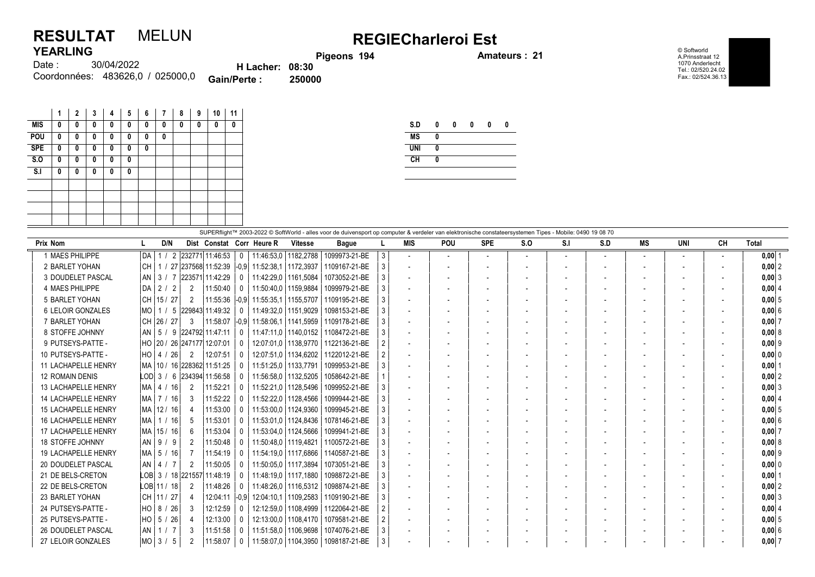## RESULTAT MELUN REGIECharleroi Est YFARI ING

Pigeons 194 **Amateurs : 21** 

© Softworld A.Prinsstraat 12 1070 Anderlecht Tel.: 02/520.24.02 Fax.: 02/524.36.13

| .        |                                  |                        |        |
|----------|----------------------------------|------------------------|--------|
| Date : : | 30/04/2022                       | <b>H</b> Lacher: 08:30 |        |
|          | Coordonnées: 483626,0 / 025000,0 | <b>Gain/Perte:</b>     | 250000 |

|            | 1 | $\mathbf{2}$ | 3 | 4 | 5 | 6 | 7 | 8 | 9 | 10 | 11 |
|------------|---|--------------|---|---|---|---|---|---|---|----|----|
| <b>MIS</b> | 0 | 0            | 0 | 0 | 0 | 0 | 0 | 0 | 0 | 0  | 0  |
| POU        | 0 | 0            | 0 | 0 | 0 | 0 | 0 |   |   |    |    |
| <b>SPE</b> | 0 | 0            | 0 | 0 | 0 | 0 |   |   |   |    |    |
| S.0        | 0 | 0            | 0 | 0 | 0 |   |   |   |   |    |    |
| S.I        | 0 | 0            | 0 | 0 | 0 |   |   |   |   |    |    |
|            |   |              |   |   |   |   |   |   |   |    |    |
|            |   |              |   |   |   |   |   |   |   |    |    |
|            |   |              |   |   |   |   |   |   |   |    |    |
|            |   |              |   |   |   |   |   |   |   |    |    |

| S.D        | 0 | 0 | 0 | 0 | Λ |
|------------|---|---|---|---|---|
| <b>MS</b>  | 0 |   |   |   |   |
| <b>UNI</b> | 0 |   |   |   |   |
| <b>CH</b>  |   |   |   |   |   |

|                            | SUPERflight™ 2003-2022 © SoftWorld - alles voor de duivensport op computer & verdeler van elektronische constateersystemen Tipes - Mobile: 0490 19 08 70 |  |               |                |                                  |                |                                                  |                        |               |                |                          |            |                          |     |      |     |                          |            |                          |            |
|----------------------------|----------------------------------------------------------------------------------------------------------------------------------------------------------|--|---------------|----------------|----------------------------------|----------------|--------------------------------------------------|------------------------|---------------|----------------|--------------------------|------------|--------------------------|-----|------|-----|--------------------------|------------|--------------------------|------------|
| Prix Nom                   |                                                                                                                                                          |  | D/N           |                |                                  |                | Dist Constat Corr Heure R                        | <b>Vitesse</b>         | <b>Bague</b>  |                | <b>MIS</b>               | <b>POU</b> | <b>SPE</b>               | S.O | -S.I | S.D | MS                       | <b>UNI</b> | <b>CH</b>                | Total      |
| 1 MAES PHILIPPE            | I DA I                                                                                                                                                   |  |               |                | / 2 232771 11:46:53              | $\mathbf 0$    | 11:46:53.0   1182.2788                           |                        | 1099973-21-BE | 3              |                          | $\sim$     | $\overline{\phantom{a}}$ |     |      |     | $\overline{\phantom{a}}$ |            | $\overline{\phantom{a}}$ | $0,00$ 1   |
| 2 BARLET YOHAN             | l CH                                                                                                                                                     |  |               |                |                                  |                | 1 / 27 237568 11:52:39 -0.9 11:52:38.1 1172.3937 |                        | 1109167-21-BE | 3              |                          |            |                          |     |      |     |                          |            |                          | $0,00$  2  |
| 3 DOUDELET PASCAL          |                                                                                                                                                          |  | AN 3 / 7      |                | 223571 11:42:29                  | 0              |                                                  | 11:42:29.0   1161.5084 | 1073052-21-BE |                |                          |            |                          |     |      |     |                          |            |                          | $0.00$   3 |
| 4 MAES PHILIPPE            |                                                                                                                                                          |  | D A 2 / 2     | 2              | 11:50:40                         | 0              |                                                  | 11:50:40.0   1159.9884 | 1099979-21-BE | 3              |                          |            |                          |     |      |     | $\overline{\phantom{a}}$ |            |                          | 0,00   4   |
| 5 BARLET YOHAN             |                                                                                                                                                          |  | CH 15 / 27    | 2              |                                  |                | 11:55:36 -0.9 11:55:35.1 1155.5707               |                        | 1109195-21-BE |                |                          |            |                          |     |      |     |                          |            |                          | $0,00$ 5   |
| <b>6 LELOIR GONZALES</b>   |                                                                                                                                                          |  |               |                | MO   1 / 5  229843  11:49:32     | 0              |                                                  | 11:49:32.0   1151.9029 | 1098153-21-BE | 3              |                          |            |                          |     |      |     |                          |            |                          | 0,006      |
| 7 BARLET YOHAN             |                                                                                                                                                          |  | CH 26 / 27    | 3              |                                  |                | 11:58:07 -0.9 11:58:06.1 1141.5959               |                        | 1109178-21-BE |                |                          |            |                          |     |      |     | $\blacksquare$           |            |                          | 0,007      |
| 8 STOFFE JOHNNY            |                                                                                                                                                          |  |               |                | AN   5 / 9   224792   11:47:11   | 0              |                                                  | 11:47:11.0   1140.0152 | 1108472-21-BE |                |                          |            |                          |     |      |     |                          |            |                          | 0,008      |
| 9 PUTSEYS-PATTE -          |                                                                                                                                                          |  |               |                | HO 20 / 26 247177 12:07:01       | 0              |                                                  | 12:07:01.0   1138.9770 | 1122136-21-BE |                |                          |            |                          |     |      |     |                          |            |                          | $0,00$  9  |
| 10 PUTSEYS-PATTE -         |                                                                                                                                                          |  | $HO$   4 / 26 | 2              | 12:07:51                         | $\Omega$       |                                                  | 12:07:51.0   1134.6202 | 1122012-21-BE |                |                          |            |                          |     |      |     |                          |            |                          | 0,00 0     |
| <b>11 LACHAPELLE HENRY</b> |                                                                                                                                                          |  |               |                | MA   10 / 16   228362   11:51:25 | 0              | 11:51:25,0   1133,7791                           |                        | 1099953-21-BE |                |                          |            |                          |     |      |     | $\overline{\phantom{a}}$ |            |                          | $0,00$   1 |
| <b>12 ROMAIN DENIS</b>     |                                                                                                                                                          |  |               |                | LOD 3 / 6 234394 11:56:58        | $\Omega$       |                                                  | 11:56:58,0   1132,5205 | 1058642-21-BE |                |                          |            |                          |     |      |     |                          |            |                          | $0,00$  2  |
| <b>13 LACHAPELLE HENRY</b> |                                                                                                                                                          |  | MA   4 / 16   | $\overline{2}$ | 11:52:21                         |                |                                                  | 11:52:21.0   1128.5496 | 1099952-21-BE | 3              |                          |            |                          |     |      |     |                          |            |                          | $0,00$ 3   |
| <b>14 LACHAPELLE HENRY</b> |                                                                                                                                                          |  | MA   7 / 16   | -3             | 11:52:22                         |                |                                                  | 11:52:22,0   1128,4566 | 1099944-21-BE | 3              | $\overline{\phantom{a}}$ |            |                          |     |      |     | $\overline{\phantom{a}}$ |            |                          | 0,00   4   |
| <b>15 LACHAPELLE HENRY</b> |                                                                                                                                                          |  | MA   12 / 16  | -4             | 11:53:00                         | 0              |                                                  | 11:53:00.0   1124.9360 | 1099945-21-BE |                |                          |            |                          |     |      |     |                          |            |                          | 0.0015     |
| 16 LACHAPELLE HENRY        |                                                                                                                                                          |  | MA   1 / 16   | -5             | 11:53:01                         |                |                                                  | 11:53:01.0   1124.8436 | 1078146-21-BE |                |                          |            |                          |     |      |     |                          |            |                          | $0,00$ 6   |
| 17 LACHAPELLE HENRY        |                                                                                                                                                          |  | MA 15 / 16    | -6             | 11:53:04                         | 0              |                                                  | 11:53:04.0   1124.5666 | 1099941-21-BE |                |                          |            |                          |     |      |     |                          |            |                          | $0,00$ 7   |
| <b>18 STOFFE JOHNNY</b>    |                                                                                                                                                          |  | AN   9 / 9    | $\overline{2}$ | 11:50:48                         | 0              |                                                  | 11:50:48.0   1119.4821 | 1100572-21-BE |                |                          |            |                          |     |      |     |                          |            |                          | 0.0018     |
| <b>19 LACHAPELLE HENRY</b> |                                                                                                                                                          |  | MA   5 / 16   | -7             | 11:54:19                         | $\overline{0}$ |                                                  | 11:54:19.0   1117.6866 | 1140587-21-BE |                |                          |            |                          |     |      |     |                          |            |                          | $0.00$  9  |
| 20 DOUDELET PASCAL         |                                                                                                                                                          |  | AN 4 / 7      | 2              | 11:50:05                         | 0              |                                                  | 11:50:05.0   1117.3894 | 1073051-21-BE |                | $\overline{a}$           |            |                          |     |      |     | $\blacksquare$           |            |                          | 0.00 0     |
| 21 DE BELS-CRETON          |                                                                                                                                                          |  |               |                | LOB 3 / 18 221557 11:48:19       |                |                                                  | 11:48:19.0   1117.1880 | 1098872-21-BE |                |                          |            |                          |     |      |     |                          |            |                          | $0,00$   1 |
| 22 DE BELS-CRETON          |                                                                                                                                                          |  | LOB 11 / 18   | $\overline{2}$ | 11:48:26                         | 0              |                                                  | 11:48:26.0   1116.5312 | 1098874-21-BE |                |                          |            |                          |     |      |     |                          |            |                          | $0,00$  2  |
| 23 BARLET YOHAN            |                                                                                                                                                          |  | CH 11 / 27    |                | 12:04:11 -0.9                    |                |                                                  | 12:04:10.1   1109.2583 | 1109190-21-BE |                |                          |            |                          |     |      |     |                          |            |                          | $0,00$ 3   |
| 24 PUTSEYS-PATTE -         |                                                                                                                                                          |  | $HO$ 8 / 26   | -3             | 12:12:59                         | 0              |                                                  | 12:12:59.0   1108.4999 | 1122064-21-BE |                |                          |            |                          |     |      |     |                          |            |                          | 0,00   4   |
| 25 PUTSEYS-PATTE -         |                                                                                                                                                          |  | $HO$ 5 / 26   | 4              | 12:13:00                         | 0              |                                                  | 12:13:00.0   1108.4170 | 1079581-21-BE | $\overline{2}$ |                          |            |                          |     |      |     | $\overline{\phantom{a}}$ |            |                          | $0,00$ 5   |
| 26 DOUDELET PASCAL         |                                                                                                                                                          |  | AN   1 / 7    | 3              | 11:51:58                         | $\Omega$       | 11:51:58,0   1106,9698                           |                        | 1074076-21-BE | 3              |                          |            |                          |     |      |     |                          |            |                          | $0,00$ 6   |
| 27 LELOIR GONZALES         |                                                                                                                                                          |  | $MO$ 3 / 5    | $\overline{2}$ | 11:58:07                         | $\mathbf 0$    |                                                  | 11:58:07.0   1104.3950 | 1098187-21-BE | 3              |                          |            |                          |     |      |     |                          |            |                          | $0,00$ 7   |